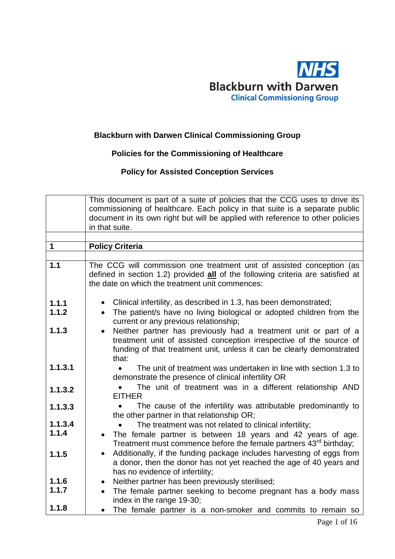

#### **Blackburn with Darwen Clinical Commissioning Group**

## **Policies for the Commissioning of Healthcare**

### **Policy for Assisted Conception Services**

|         | This document is part of a suite of policies that the CCG uses to drive its<br>commissioning of healthcare. Each policy in that suite is a separate public<br>document in its own right but will be applied with reference to other policies<br>in that suite. |
|---------|----------------------------------------------------------------------------------------------------------------------------------------------------------------------------------------------------------------------------------------------------------------|
|         |                                                                                                                                                                                                                                                                |
| 1       | <b>Policy Criteria</b>                                                                                                                                                                                                                                         |
| 1.1     |                                                                                                                                                                                                                                                                |
|         | The CCG will commission one treatment unit of assisted conception (as<br>defined in section 1.2) provided all of the following criteria are satisfied at<br>the date on which the treatment unit commences:                                                    |
| 1.1.1   | Clinical infertility, as described in 1.3, has been demonstrated;<br>$\bullet$                                                                                                                                                                                 |
| 1.1.2   | The patient/s have no living biological or adopted children from the<br>$\bullet$<br>current or any previous relationship;                                                                                                                                     |
| 1.1.3   | Neither partner has previously had a treatment unit or part of a<br>treatment unit of assisted conception irrespective of the source of<br>funding of that treatment unit, unless it can be clearly demonstrated<br>that:                                      |
| 1.1.3.1 | The unit of treatment was undertaken in line with section 1.3 to<br>demonstrate the presence of clinical infertility OR                                                                                                                                        |
| 1.1.3.2 | The unit of treatment was in a different relationship AND<br><b>EITHER</b>                                                                                                                                                                                     |
| 1.1.3.3 | The cause of the infertility was attributable predominantly to<br>the other partner in that relationship OR;                                                                                                                                                   |
| 1.1.3.4 | The treatment was not related to clinical infertility;                                                                                                                                                                                                         |
| 1.1.4   | The female partner is between 18 years and 42 years of age.<br>Treatment must commence before the female partners 43 <sup>rd</sup> birthday;                                                                                                                   |
| 1.1.5   | Additionally, if the funding package includes harvesting of eggs from<br>a donor, then the donor has not yet reached the age of 40 years and<br>has no evidence of infertility;                                                                                |
| 1.1.6   | Neither partner has been previously sterilised;<br>$\bullet$                                                                                                                                                                                                   |
| 1.1.7   | The female partner seeking to become pregnant has a body mass<br>index in the range 19-30;                                                                                                                                                                     |
| 1.1.8   | The female partner is a non-smoker and commits to remain so                                                                                                                                                                                                    |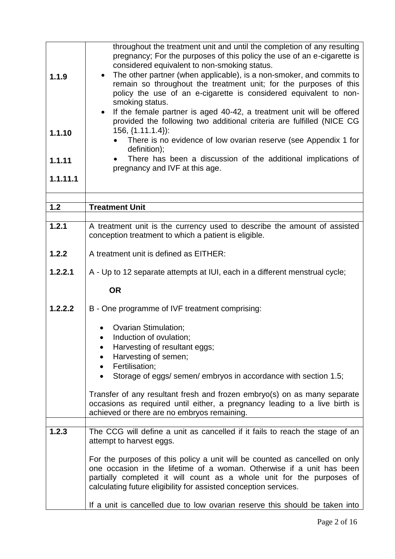| 1.1.9    | throughout the treatment unit and until the completion of any resulting<br>pregnancy; For the purposes of this policy the use of an e-cigarette is<br>considered equivalent to non-smoking status.<br>The other partner (when applicable), is a non-smoker, and commits to<br>remain so throughout the treatment unit; for the purposes of this<br>policy the use of an e-cigarette is considered equivalent to non-<br>smoking status.<br>If the female partner is aged 40-42, a treatment unit will be offered |
|----------|------------------------------------------------------------------------------------------------------------------------------------------------------------------------------------------------------------------------------------------------------------------------------------------------------------------------------------------------------------------------------------------------------------------------------------------------------------------------------------------------------------------|
|          | provided the following two additional criteria are fulfilled (NICE CG<br>$156, \{1.11.1.4\}$ :                                                                                                                                                                                                                                                                                                                                                                                                                   |
| 1.1.10   | There is no evidence of low ovarian reserve (see Appendix 1 for                                                                                                                                                                                                                                                                                                                                                                                                                                                  |
| 1.1.11   | definition);<br>There has been a discussion of the additional implications of                                                                                                                                                                                                                                                                                                                                                                                                                                    |
| 1.1.11.1 | pregnancy and IVF at this age.                                                                                                                                                                                                                                                                                                                                                                                                                                                                                   |
|          |                                                                                                                                                                                                                                                                                                                                                                                                                                                                                                                  |
| $1.2$    | <b>Treatment Unit</b>                                                                                                                                                                                                                                                                                                                                                                                                                                                                                            |
|          |                                                                                                                                                                                                                                                                                                                                                                                                                                                                                                                  |
| 1.2.1    | A treatment unit is the currency used to describe the amount of assisted<br>conception treatment to which a patient is eligible.                                                                                                                                                                                                                                                                                                                                                                                 |
| 1.2.2    | A treatment unit is defined as EITHER:                                                                                                                                                                                                                                                                                                                                                                                                                                                                           |
| 1.2.2.1  | A - Up to 12 separate attempts at IUI, each in a different menstrual cycle;                                                                                                                                                                                                                                                                                                                                                                                                                                      |
|          | <b>OR</b>                                                                                                                                                                                                                                                                                                                                                                                                                                                                                                        |
| 1.2.2.2  | B - One programme of IVF treatment comprising:                                                                                                                                                                                                                                                                                                                                                                                                                                                                   |
|          | <b>Ovarian Stimulation;</b>                                                                                                                                                                                                                                                                                                                                                                                                                                                                                      |
|          | Induction of ovulation;                                                                                                                                                                                                                                                                                                                                                                                                                                                                                          |
|          | Harvesting of resultant eggs;<br>Harvesting of semen;<br>$\bullet$                                                                                                                                                                                                                                                                                                                                                                                                                                               |
|          | Fertilisation;<br>$\bullet$                                                                                                                                                                                                                                                                                                                                                                                                                                                                                      |
|          | Storage of eggs/ semen/ embryos in accordance with section 1.5;<br>$\bullet$                                                                                                                                                                                                                                                                                                                                                                                                                                     |
|          | Transfer of any resultant fresh and frozen embryo(s) on as many separate<br>occasions as required until either, a pregnancy leading to a live birth is<br>achieved or there are no embryos remaining.                                                                                                                                                                                                                                                                                                            |
|          |                                                                                                                                                                                                                                                                                                                                                                                                                                                                                                                  |
| 1.2.3    | The CCG will define a unit as cancelled if it fails to reach the stage of an<br>attempt to harvest eggs.                                                                                                                                                                                                                                                                                                                                                                                                         |
|          | For the purposes of this policy a unit will be counted as cancelled on only<br>one occasion in the lifetime of a woman. Otherwise if a unit has been<br>partially completed it will count as a whole unit for the purposes of<br>calculating future eligibility for assisted conception services.                                                                                                                                                                                                                |
|          | If a unit is cancelled due to low ovarian reserve this should be taken into                                                                                                                                                                                                                                                                                                                                                                                                                                      |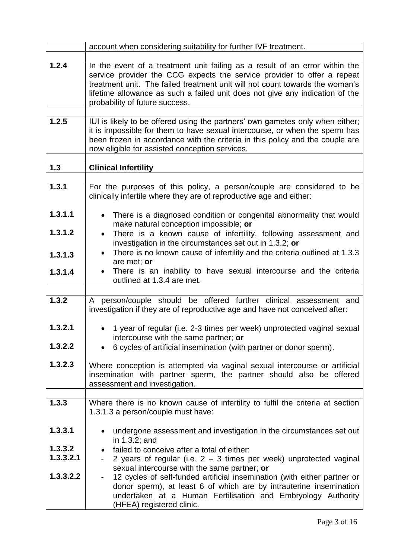|           | account when considering suitability for further IVF treatment.                                                                                                                                                                                                                                                                                          |
|-----------|----------------------------------------------------------------------------------------------------------------------------------------------------------------------------------------------------------------------------------------------------------------------------------------------------------------------------------------------------------|
| 1.2.4     | In the event of a treatment unit failing as a result of an error within the<br>service provider the CCG expects the service provider to offer a repeat<br>treatment unit. The failed treatment unit will not count towards the woman's<br>lifetime allowance as such a failed unit does not give any indication of the<br>probability of future success. |
|           |                                                                                                                                                                                                                                                                                                                                                          |
| 1.2.5     | IUI is likely to be offered using the partners' own gametes only when either;<br>it is impossible for them to have sexual intercourse, or when the sperm has<br>been frozen in accordance with the criteria in this policy and the couple are<br>now eligible for assisted conception services.                                                          |
| $1.3$     | <b>Clinical Infertility</b>                                                                                                                                                                                                                                                                                                                              |
|           |                                                                                                                                                                                                                                                                                                                                                          |
| 1.3.1     | For the purposes of this policy, a person/couple are considered to be<br>clinically infertile where they are of reproductive age and either:                                                                                                                                                                                                             |
| 1.3.1.1   | There is a diagnosed condition or congenital abnormality that would<br>make natural conception impossible; or                                                                                                                                                                                                                                            |
| 1.3.1.2   | There is a known cause of infertility, following assessment and<br>$\bullet$<br>investigation in the circumstances set out in 1.3.2; or                                                                                                                                                                                                                  |
| 1.3.1.3   | There is no known cause of infertility and the criteria outlined at 1.3.3<br>$\bullet$<br>are met; or                                                                                                                                                                                                                                                    |
| 1.3.1.4   | There is an inability to have sexual intercourse and the criteria<br>outlined at 1.3.4 are met.                                                                                                                                                                                                                                                          |
|           |                                                                                                                                                                                                                                                                                                                                                          |
| 1.3.2     | A person/couple should be offered further clinical assessment and<br>investigation if they are of reproductive age and have not conceived after:                                                                                                                                                                                                         |
| 1.3.2.1   | 1 year of regular (i.e. 2-3 times per week) unprotected vaginal sexual<br>intercourse with the same partner; or                                                                                                                                                                                                                                          |
| 1.3.2.2   | 6 cycles of artificial insemination (with partner or donor sperm).                                                                                                                                                                                                                                                                                       |
| 1.3.2.3   | Where conception is attempted via vaginal sexual intercourse or artificial<br>insemination with partner sperm, the partner should also be offered<br>assessment and investigation.                                                                                                                                                                       |
|           |                                                                                                                                                                                                                                                                                                                                                          |
| 1.3.3     | Where there is no known cause of infertility to fulfil the criteria at section<br>1.3.1.3 a person/couple must have:                                                                                                                                                                                                                                     |
| 1.3.3.1   | undergone assessment and investigation in the circumstances set out<br>in 1.3.2; and                                                                                                                                                                                                                                                                     |
| 1.3.3.2   | failed to conceive after a total of either:                                                                                                                                                                                                                                                                                                              |
| 1.3.3.2.1 | 2 years of regular (i.e. $2 - 3$ times per week) unprotected vaginal                                                                                                                                                                                                                                                                                     |
| 1.3.3.2.2 | sexual intercourse with the same partner; or<br>12 cycles of self-funded artificial insemination (with either partner or                                                                                                                                                                                                                                 |
|           | donor sperm), at least 6 of which are by intrauterine insemination<br>undertaken at a Human Fertilisation and Embryology Authority<br>(HFEA) registered clinic.                                                                                                                                                                                          |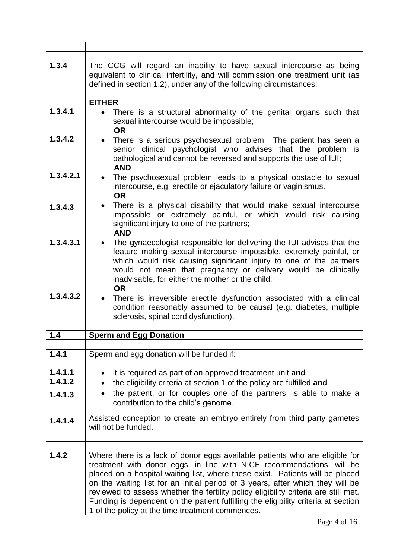| 1.3.4              | The CCG will regard an inability to have sexual intercourse as being<br>equivalent to clinical infertility, and will commission one treatment unit (as<br>defined in section 1.2), under any of the following circumstances:                                                                                                                                                                                                                                                                                                                             |
|--------------------|----------------------------------------------------------------------------------------------------------------------------------------------------------------------------------------------------------------------------------------------------------------------------------------------------------------------------------------------------------------------------------------------------------------------------------------------------------------------------------------------------------------------------------------------------------|
| 1.3.4.1            | <b>EITHER</b><br>There is a structural abnormality of the genital organs such that                                                                                                                                                                                                                                                                                                                                                                                                                                                                       |
|                    | sexual intercourse would be impossible;<br><b>OR</b>                                                                                                                                                                                                                                                                                                                                                                                                                                                                                                     |
| 1.3.4.2            | • There is a serious psychosexual problem. The patient has seen a<br>senior clinical psychologist who advises that the problem is<br>pathological and cannot be reversed and supports the use of IUI;<br><b>AND</b>                                                                                                                                                                                                                                                                                                                                      |
| 1.3.4.2.1          | The psychosexual problem leads to a physical obstacle to sexual<br>$\bullet$<br>intercourse, e.g. erectile or ejaculatory failure or vaginismus.<br><b>OR</b>                                                                                                                                                                                                                                                                                                                                                                                            |
| 1.3.4.3            | There is a physical disability that would make sexual intercourse<br>$\bullet$<br>impossible or extremely painful, or which would risk causing<br>significant injury to one of the partners;<br><b>AND</b>                                                                                                                                                                                                                                                                                                                                               |
| 1.3.4.3.1          | The gynaecologist responsible for delivering the IUI advises that the<br>feature making sexual intercourse impossible, extremely painful, or<br>which would risk causing significant injury to one of the partners<br>would not mean that pregnancy or delivery would be clinically<br>inadvisable, for either the mother or the child;<br><b>OR</b>                                                                                                                                                                                                     |
| 1.3.4.3.2          | There is irreversible erectile dysfunction associated with a clinical<br>condition reasonably assumed to be causal (e.g. diabetes, multiple<br>sclerosis, spinal cord dysfunction).                                                                                                                                                                                                                                                                                                                                                                      |
| 1.4                | <b>Sperm and Egg Donation</b>                                                                                                                                                                                                                                                                                                                                                                                                                                                                                                                            |
| 1.4.1              | Sperm and egg donation will be funded if:                                                                                                                                                                                                                                                                                                                                                                                                                                                                                                                |
|                    |                                                                                                                                                                                                                                                                                                                                                                                                                                                                                                                                                          |
| 1.4.1.1<br>1.4.1.2 | it is required as part of an approved treatment unit and<br>the eligibility criteria at section 1 of the policy are fulfilled and                                                                                                                                                                                                                                                                                                                                                                                                                        |
| 1.4.1.3            | ٠<br>the patient, or for couples one of the partners, is able to make a<br>contribution to the child's genome.                                                                                                                                                                                                                                                                                                                                                                                                                                           |
| 1.4.1.4            | Assisted conception to create an embryo entirely from third party gametes<br>will not be funded.                                                                                                                                                                                                                                                                                                                                                                                                                                                         |
|                    |                                                                                                                                                                                                                                                                                                                                                                                                                                                                                                                                                          |
| 1.4.2              | Where there is a lack of donor eggs available patients who are eligible for<br>treatment with donor eggs, in line with NICE recommendations, will be<br>placed on a hospital waiting list, where these exist. Patients will be placed<br>on the waiting list for an initial period of 3 years, after which they will be<br>reviewed to assess whether the fertility policy eligibility criteria are still met.<br>Funding is dependent on the patient fulfilling the eligibility criteria at section<br>1 of the policy at the time treatment commences. |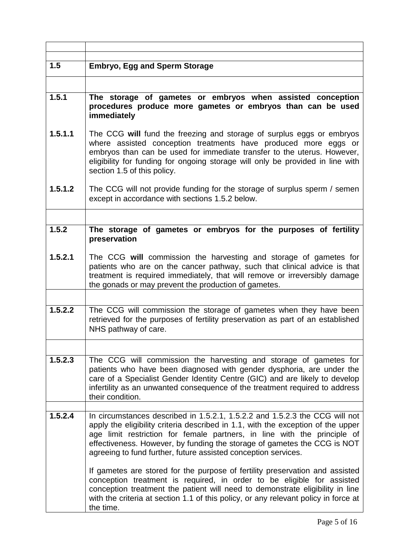| 1.5     | <b>Embryo, Egg and Sperm Storage</b>                                                                                                                                                                                                                                                                                                        |
|---------|---------------------------------------------------------------------------------------------------------------------------------------------------------------------------------------------------------------------------------------------------------------------------------------------------------------------------------------------|
|         |                                                                                                                                                                                                                                                                                                                                             |
|         |                                                                                                                                                                                                                                                                                                                                             |
| 1.5.1   | The storage of gametes or embryos when assisted conception<br>procedures produce more gametes or embryos than can be used<br>immediately                                                                                                                                                                                                    |
| 1.5.1.1 | The CCG will fund the freezing and storage of surplus eggs or embryos<br>where assisted conception treatments have produced more eggs or<br>embryos than can be used for immediate transfer to the uterus. However,<br>eligibility for funding for ongoing storage will only be provided in line with<br>section 1.5 of this policy.        |
| 1.5.1.2 | The CCG will not provide funding for the storage of surplus sperm / semen<br>except in accordance with sections 1.5.2 below.                                                                                                                                                                                                                |
|         |                                                                                                                                                                                                                                                                                                                                             |
| 1.5.2   | The storage of gametes or embryos for the purposes of fertility<br>preservation                                                                                                                                                                                                                                                             |
| 1.5.2.1 | The CCG will commission the harvesting and storage of gametes for<br>patients who are on the cancer pathway, such that clinical advice is that<br>treatment is required immediately, that will remove or irreversibly damage<br>the gonads or may prevent the production of gametes.                                                        |
|         |                                                                                                                                                                                                                                                                                                                                             |
| 1.5.2.2 | The CCG will commission the storage of gametes when they have been<br>retrieved for the purposes of fertility preservation as part of an established<br>NHS pathway of care.                                                                                                                                                                |
|         |                                                                                                                                                                                                                                                                                                                                             |
| 1.5.2.3 | The CCG will commission the harvesting and storage of gametes for<br>patients who have been diagnosed with gender dysphoria, are under the<br>care of a Specialist Gender Identity Centre (GIC) and are likely to develop<br>infertility as an unwanted consequence of the treatment required to address<br>their condition.                |
| 1.5.2.4 | In circumstances described in 1.5.2.1, 1.5.2.2 and 1.5.2.3 the CCG will not                                                                                                                                                                                                                                                                 |
|         | apply the eligibility criteria described in 1.1, with the exception of the upper<br>age limit restriction for female partners, in line with the principle of<br>effectiveness. However, by funding the storage of gametes the CCG is NOT<br>agreeing to fund further, future assisted conception services.                                  |
|         | If gametes are stored for the purpose of fertility preservation and assisted<br>conception treatment is required, in order to be eligible for assisted<br>conception treatment the patient will need to demonstrate eligibility in line<br>with the criteria at section 1.1 of this policy, or any relevant policy in force at<br>the time. |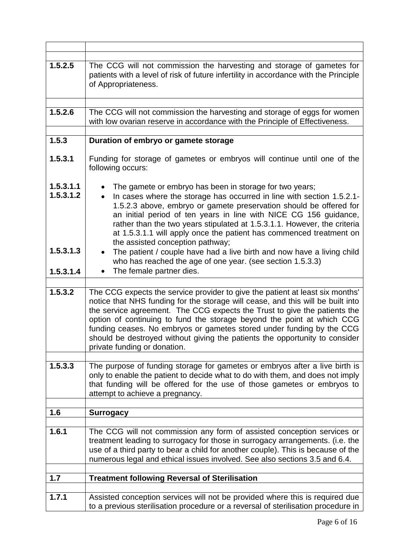| 1.5.2.5                                          | The CCG will not commission the harvesting and storage of gametes for<br>patients with a level of risk of future infertility in accordance with the Principle<br>of Appropriateness.                                                                                                                                                                                                                                                                                                                                                                                                                                                                             |
|--------------------------------------------------|------------------------------------------------------------------------------------------------------------------------------------------------------------------------------------------------------------------------------------------------------------------------------------------------------------------------------------------------------------------------------------------------------------------------------------------------------------------------------------------------------------------------------------------------------------------------------------------------------------------------------------------------------------------|
| 1.5.2.6                                          | The CCG will not commission the harvesting and storage of eggs for women<br>with low ovarian reserve in accordance with the Principle of Effectiveness.                                                                                                                                                                                                                                                                                                                                                                                                                                                                                                          |
| 1.5.3                                            | Duration of embryo or gamete storage                                                                                                                                                                                                                                                                                                                                                                                                                                                                                                                                                                                                                             |
| 1.5.3.1                                          | Funding for storage of gametes or embryos will continue until one of the<br>following occurs:                                                                                                                                                                                                                                                                                                                                                                                                                                                                                                                                                                    |
| 1.5.3.1.1<br>1.5.3.1.2<br>1.5.3.1.3<br>1.5.3.1.4 | The gamete or embryo has been in storage for two years;<br>In cases where the storage has occurred in line with section 1.5.2.1-<br>$\bullet$<br>1.5.2.3 above, embryo or gamete preservation should be offered for<br>an initial period of ten years in line with NICE CG 156 guidance,<br>rather than the two years stipulated at 1.5.3.1.1. However, the criteria<br>at 1.5.3.1.1 will apply once the patient has commenced treatment on<br>the assisted conception pathway;<br>The patient / couple have had a live birth and now have a living child<br>$\bullet$<br>who has reached the age of one year. (see section 1.5.3.3)<br>The female partner dies. |
|                                                  |                                                                                                                                                                                                                                                                                                                                                                                                                                                                                                                                                                                                                                                                  |
| 1.5.3.2                                          | The CCG expects the service provider to give the patient at least six months'<br>notice that NHS funding for the storage will cease, and this will be built into<br>the service agreement. The CCG expects the Trust to give the patients the<br>option of continuing to fund the storage beyond the point at which CCG<br>funding ceases. No embryos or gametes stored under funding by the CCG<br>should be destroyed without giving the patients the opportunity to consider<br>private funding or donation.                                                                                                                                                  |
|                                                  |                                                                                                                                                                                                                                                                                                                                                                                                                                                                                                                                                                                                                                                                  |
| 1.5.3.3                                          | The purpose of funding storage for gametes or embryos after a live birth is<br>only to enable the patient to decide what to do with them, and does not imply<br>that funding will be offered for the use of those gametes or embryos to<br>attempt to achieve a pregnancy.                                                                                                                                                                                                                                                                                                                                                                                       |
| 1.6                                              | <b>Surrogacy</b>                                                                                                                                                                                                                                                                                                                                                                                                                                                                                                                                                                                                                                                 |
|                                                  |                                                                                                                                                                                                                                                                                                                                                                                                                                                                                                                                                                                                                                                                  |
| 1.6.1                                            | The CCG will not commission any form of assisted conception services or<br>treatment leading to surrogacy for those in surrogacy arrangements. (i.e. the<br>use of a third party to bear a child for another couple). This is because of the<br>numerous legal and ethical issues involved. See also sections 3.5 and 6.4.                                                                                                                                                                                                                                                                                                                                       |
| 1.7                                              | <b>Treatment following Reversal of Sterilisation</b>                                                                                                                                                                                                                                                                                                                                                                                                                                                                                                                                                                                                             |
|                                                  |                                                                                                                                                                                                                                                                                                                                                                                                                                                                                                                                                                                                                                                                  |
| 1.7.1                                            | Assisted conception services will not be provided where this is required due<br>to a previous sterilisation procedure or a reversal of sterilisation procedure in                                                                                                                                                                                                                                                                                                                                                                                                                                                                                                |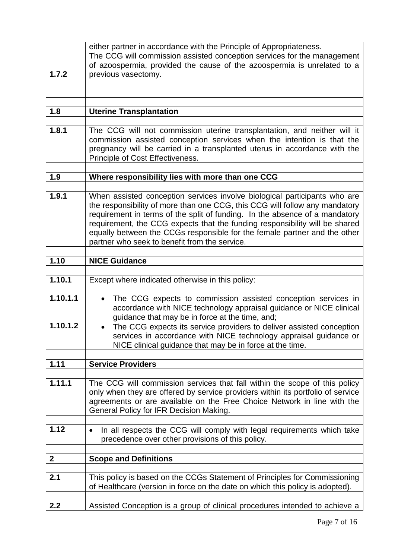| 1.7.2                | either partner in accordance with the Principle of Appropriateness.<br>The CCG will commission assisted conception services for the management<br>of azoospermia, provided the cause of the azoospermia is unrelated to a<br>previous vasectomy.                                                                                                                                                                                                     |
|----------------------|------------------------------------------------------------------------------------------------------------------------------------------------------------------------------------------------------------------------------------------------------------------------------------------------------------------------------------------------------------------------------------------------------------------------------------------------------|
| 1.8                  | <b>Uterine Transplantation</b>                                                                                                                                                                                                                                                                                                                                                                                                                       |
|                      |                                                                                                                                                                                                                                                                                                                                                                                                                                                      |
| 1.8.1                | The CCG will not commission uterine transplantation, and neither will it<br>commission assisted conception services when the intention is that the<br>pregnancy will be carried in a transplanted uterus in accordance with the<br>Principle of Cost Effectiveness.                                                                                                                                                                                  |
| 1.9                  | Where responsibility lies with more than one CCG                                                                                                                                                                                                                                                                                                                                                                                                     |
|                      |                                                                                                                                                                                                                                                                                                                                                                                                                                                      |
| 1.9.1                | When assisted conception services involve biological participants who are<br>the responsibility of more than one CCG, this CCG will follow any mandatory<br>requirement in terms of the split of funding. In the absence of a mandatory<br>requirement, the CCG expects that the funding responsibility will be shared<br>equally between the CCGs responsible for the female partner and the other<br>partner who seek to benefit from the service. |
| 1.10                 | <b>NICE Guidance</b>                                                                                                                                                                                                                                                                                                                                                                                                                                 |
|                      |                                                                                                                                                                                                                                                                                                                                                                                                                                                      |
| 1.10.1               | Except where indicated otherwise in this policy:                                                                                                                                                                                                                                                                                                                                                                                                     |
| 1.10.1.1<br>1.10.1.2 | The CCG expects to commission assisted conception services in<br>accordance with NICE technology appraisal guidance or NICE clinical<br>guidance that may be in force at the time, and;<br>The CCG expects its service providers to deliver assisted conception<br>services in accordance with NICE technology appraisal guidance or<br>NICE clinical guidance that may be in force at the time.                                                     |
|                      |                                                                                                                                                                                                                                                                                                                                                                                                                                                      |
| 1.11                 | <b>Service Providers</b>                                                                                                                                                                                                                                                                                                                                                                                                                             |
| 1.11.1               | The CCG will commission services that fall within the scope of this policy<br>only when they are offered by service providers within its portfolio of service<br>agreements or are available on the Free Choice Network in line with the<br>General Policy for IFR Decision Making.                                                                                                                                                                  |
|                      |                                                                                                                                                                                                                                                                                                                                                                                                                                                      |
| 1.12                 | In all respects the CCG will comply with legal requirements which take<br>٠<br>precedence over other provisions of this policy.                                                                                                                                                                                                                                                                                                                      |
| $\boldsymbol{2}$     | <b>Scope and Definitions</b>                                                                                                                                                                                                                                                                                                                                                                                                                         |
|                      |                                                                                                                                                                                                                                                                                                                                                                                                                                                      |
| 2.1                  | This policy is based on the CCGs Statement of Principles for Commissioning<br>of Healthcare (version in force on the date on which this policy is adopted).                                                                                                                                                                                                                                                                                          |
| 2.2                  | Assisted Conception is a group of clinical procedures intended to achieve a                                                                                                                                                                                                                                                                                                                                                                          |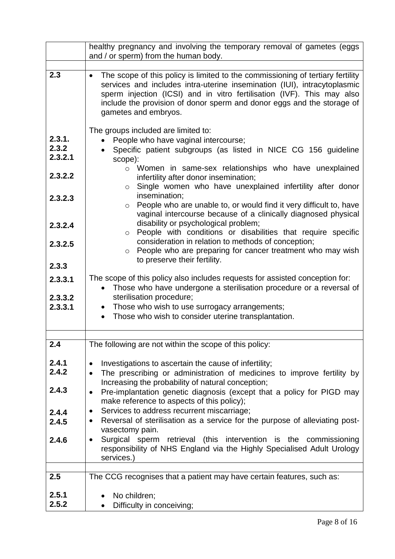|                                                                        | healthy pregnancy and involving the temporary removal of gametes (eggs                                                                                                                                                                                                                                                                                                                                                                                                                                                                                                                                                                                                   |
|------------------------------------------------------------------------|--------------------------------------------------------------------------------------------------------------------------------------------------------------------------------------------------------------------------------------------------------------------------------------------------------------------------------------------------------------------------------------------------------------------------------------------------------------------------------------------------------------------------------------------------------------------------------------------------------------------------------------------------------------------------|
|                                                                        | and / or sperm) from the human body.                                                                                                                                                                                                                                                                                                                                                                                                                                                                                                                                                                                                                                     |
| 2.3                                                                    | The scope of this policy is limited to the commissioning of tertiary fertility<br>$\bullet$<br>services and includes intra-uterine insemination (IUI), intracytoplasmic<br>sperm injection (ICSI) and in vitro fertilisation (IVF). This may also<br>include the provision of donor sperm and donor eggs and the storage of<br>gametes and embryos.                                                                                                                                                                                                                                                                                                                      |
| 2.3.1.<br>2.3.2<br>2.3.2.1<br>2.3.2.2<br>2.3.2.3<br>2.3.2.4<br>2.3.2.5 | The groups included are limited to:<br>People who have vaginal intercourse;<br>Specific patient subgroups (as listed in NICE CG 156 guideline<br>scope):<br>o Women in same-sex relationships who have unexplained<br>infertility after donor insemination;<br>Single women who have unexplained infertility after donor<br>$\circ$<br>insemination;<br>People who are unable to, or would find it very difficult to, have<br>$\circ$<br>vaginal intercourse because of a clinically diagnosed physical<br>disability or psychological problem;<br>o People with conditions or disabilities that require specific<br>consideration in relation to methods of conception; |
|                                                                        | People who are preparing for cancer treatment who may wish<br>$\circ$<br>to preserve their fertility.                                                                                                                                                                                                                                                                                                                                                                                                                                                                                                                                                                    |
| 2.3.3                                                                  |                                                                                                                                                                                                                                                                                                                                                                                                                                                                                                                                                                                                                                                                          |
| 2.3.3.1<br>2.3.3.2<br>2.3.3.1                                          | The scope of this policy also includes requests for assisted conception for:<br>Those who have undergone a sterilisation procedure or a reversal of<br>sterilisation procedure;<br>• Those who wish to use surrogacy arrangements;<br>Those who wish to consider uterine transplantation.                                                                                                                                                                                                                                                                                                                                                                                |
|                                                                        |                                                                                                                                                                                                                                                                                                                                                                                                                                                                                                                                                                                                                                                                          |
| 2.4                                                                    | The following are not within the scope of this policy:                                                                                                                                                                                                                                                                                                                                                                                                                                                                                                                                                                                                                   |
| 2.4.1<br>2.4.2<br>2.4.3                                                | Investigations to ascertain the cause of infertility;<br>$\bullet$<br>The prescribing or administration of medicines to improve fertility by<br>$\bullet$<br>Increasing the probability of natural conception;<br>Pre-implantation genetic diagnosis (except that a policy for PIGD may<br>$\bullet$                                                                                                                                                                                                                                                                                                                                                                     |
| 2.4.4<br>2.4.5                                                         | make reference to aspects of this policy);<br>Services to address recurrent miscarriage;<br>$\bullet$<br>Reversal of sterilisation as a service for the purpose of alleviating post-<br>$\bullet$                                                                                                                                                                                                                                                                                                                                                                                                                                                                        |
| 2.4.6                                                                  | vasectomy pain.<br>Surgical sperm retrieval (this intervention is the commissioning<br>$\bullet$<br>responsibility of NHS England via the Highly Specialised Adult Urology<br>services.)                                                                                                                                                                                                                                                                                                                                                                                                                                                                                 |
| 2.5                                                                    | The CCG recognises that a patient may have certain features, such as:                                                                                                                                                                                                                                                                                                                                                                                                                                                                                                                                                                                                    |
| 2.5.1<br>2.5.2                                                         | No children;<br>Difficulty in conceiving;                                                                                                                                                                                                                                                                                                                                                                                                                                                                                                                                                                                                                                |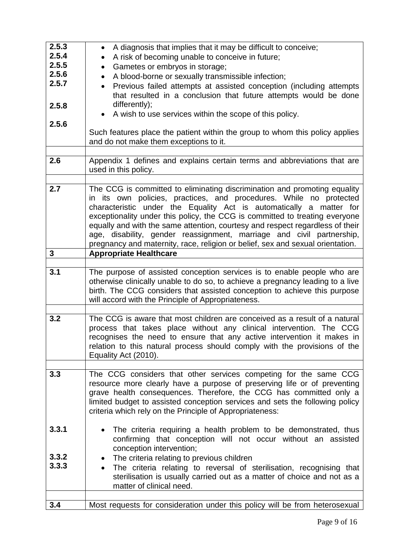| 2.5.3        | A diagnosis that implies that it may be difficult to conceive;<br>$\bullet$                                                                             |
|--------------|---------------------------------------------------------------------------------------------------------------------------------------------------------|
| 2.5.4        | A risk of becoming unable to conceive in future;<br>$\bullet$                                                                                           |
| 2.5.5        | Gametes or embryos in storage;<br>$\bullet$                                                                                                             |
| 2.5.6        | A blood-borne or sexually transmissible infection;                                                                                                      |
| 2.5.7        | Previous failed attempts at assisted conception (including attempts                                                                                     |
|              | that resulted in a conclusion that future attempts would be done                                                                                        |
| 2.5.8        | differently);                                                                                                                                           |
|              | A wish to use services within the scope of this policy.                                                                                                 |
| 2.5.6        |                                                                                                                                                         |
|              | Such features place the patient within the group to whom this policy applies                                                                            |
|              | and do not make them exceptions to it.                                                                                                                  |
|              |                                                                                                                                                         |
| 2.6          | Appendix 1 defines and explains certain terms and abbreviations that are                                                                                |
|              | used in this policy.                                                                                                                                    |
|              |                                                                                                                                                         |
| 2.7          | The CCG is committed to eliminating discrimination and promoting equality                                                                               |
|              | in its own policies, practices, and procedures. While no protected                                                                                      |
|              | characteristic under the Equality Act is automatically a matter for                                                                                     |
|              | exceptionality under this policy, the CCG is committed to treating everyone                                                                             |
|              | equally and with the same attention, courtesy and respect regardless of their                                                                           |
|              | age, disability, gender reassignment, marriage and civil partnership,<br>pregnancy and maternity, race, religion or belief, sex and sexual orientation. |
| $\mathbf{3}$ | <b>Appropriate Healthcare</b>                                                                                                                           |
|              |                                                                                                                                                         |
| 3.1          | The purpose of assisted conception services is to enable people who are                                                                                 |
|              | otherwise clinically unable to do so, to achieve a pregnancy leading to a live                                                                          |
|              | birth. The CCG considers that assisted conception to achieve this purpose                                                                               |
|              | will accord with the Principle of Appropriateness.                                                                                                      |
|              |                                                                                                                                                         |
| 3.2          | The CCG is aware that most children are conceived as a result of a natural                                                                              |
|              | process that takes place without any clinical intervention. The CCG                                                                                     |
|              | recognises the need to ensure that any active intervention it makes in                                                                                  |
|              | relation to this natural process should comply with the provisions of the                                                                               |
|              | Equality Act (2010).                                                                                                                                    |
|              |                                                                                                                                                         |
| 3.3          | The CCG considers that other services competing for the same CCG                                                                                        |
|              | resource more clearly have a purpose of preserving life or of preventing                                                                                |
|              | grave health consequences. Therefore, the CCG has committed only a                                                                                      |
|              | limited budget to assisted conception services and sets the following policy                                                                            |
|              | criteria which rely on the Principle of Appropriateness:                                                                                                |
|              |                                                                                                                                                         |
| 3.3.1        | The criteria requiring a health problem to be demonstrated, thus                                                                                        |
|              | confirming that conception will not occur without an assisted                                                                                           |
| 3.3.2        | conception intervention;                                                                                                                                |
| 3.3.3        | The criteria relating to previous children<br>$\bullet$                                                                                                 |
|              | The criteria relating to reversal of sterilisation, recognising that                                                                                    |
|              | sterilisation is usually carried out as a matter of choice and not as a                                                                                 |
|              | matter of clinical need.                                                                                                                                |
|              |                                                                                                                                                         |
| 3.4          | Most requests for consideration under this policy will be from heterosexual                                                                             |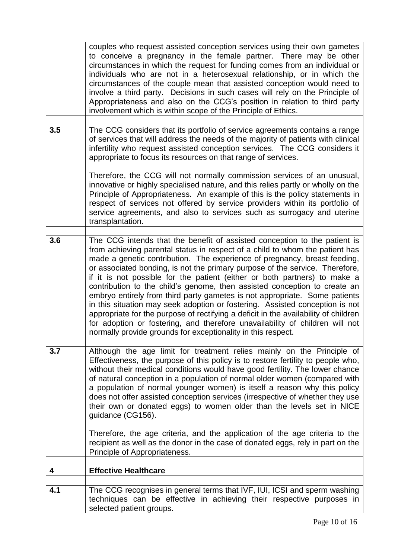|     | couples who request assisted conception services using their own gametes<br>to conceive a pregnancy in the female partner. There may be other<br>circumstances in which the request for funding comes from an individual or<br>individuals who are not in a heterosexual relationship, or in which the<br>circumstances of the couple mean that assisted conception would need to<br>involve a third party. Decisions in such cases will rely on the Principle of<br>Appropriateness and also on the CCG's position in relation to third party<br>involvement which is within scope of the Principle of Ethics.                                                                                                                                                                                                                                                                       |
|-----|---------------------------------------------------------------------------------------------------------------------------------------------------------------------------------------------------------------------------------------------------------------------------------------------------------------------------------------------------------------------------------------------------------------------------------------------------------------------------------------------------------------------------------------------------------------------------------------------------------------------------------------------------------------------------------------------------------------------------------------------------------------------------------------------------------------------------------------------------------------------------------------|
| 3.5 | The CCG considers that its portfolio of service agreements contains a range<br>of services that will address the needs of the majority of patients with clinical<br>infertility who request assisted conception services. The CCG considers it<br>appropriate to focus its resources on that range of services.                                                                                                                                                                                                                                                                                                                                                                                                                                                                                                                                                                       |
|     | Therefore, the CCG will not normally commission services of an unusual,<br>innovative or highly specialised nature, and this relies partly or wholly on the<br>Principle of Appropriateness. An example of this is the policy statements in<br>respect of services not offered by service providers within its portfolio of<br>service agreements, and also to services such as surrogacy and uterine<br>transplantation.                                                                                                                                                                                                                                                                                                                                                                                                                                                             |
| 3.6 | The CCG intends that the benefit of assisted conception to the patient is<br>from achieving parental status in respect of a child to whom the patient has<br>made a genetic contribution. The experience of pregnancy, breast feeding,<br>or associated bonding, is not the primary purpose of the service. Therefore,<br>if it is not possible for the patient (either or both partners) to make a<br>contribution to the child's genome, then assisted conception to create an<br>embryo entirely from third party gametes is not appropriate. Some patients<br>in this situation may seek adoption or fostering. Assisted conception is not<br>appropriate for the purpose of rectifying a deficit in the availability of children<br>for adoption or fostering, and therefore unavailability of children will not<br>normally provide grounds for exceptionality in this respect. |
| 3.7 | Although the age limit for treatment relies mainly on the Principle of<br>Effectiveness, the purpose of this policy is to restore fertility to people who,<br>without their medical conditions would have good fertility. The lower chance<br>of natural conception in a population of normal older women (compared with<br>a population of normal younger women) is itself a reason why this policy<br>does not offer assisted conception services (irrespective of whether they use<br>their own or donated eggs) to women older than the levels set in NICE<br>guidance (CG156).                                                                                                                                                                                                                                                                                                   |
|     | Therefore, the age criteria, and the application of the age criteria to the<br>recipient as well as the donor in the case of donated eggs, rely in part on the<br>Principle of Appropriateness.                                                                                                                                                                                                                                                                                                                                                                                                                                                                                                                                                                                                                                                                                       |
| 4   | <b>Effective Healthcare</b>                                                                                                                                                                                                                                                                                                                                                                                                                                                                                                                                                                                                                                                                                                                                                                                                                                                           |
|     |                                                                                                                                                                                                                                                                                                                                                                                                                                                                                                                                                                                                                                                                                                                                                                                                                                                                                       |
| 4.1 | The CCG recognises in general terms that IVF, IUI, ICSI and sperm washing<br>techniques can be effective in achieving their respective purposes in<br>selected patient groups.                                                                                                                                                                                                                                                                                                                                                                                                                                                                                                                                                                                                                                                                                                        |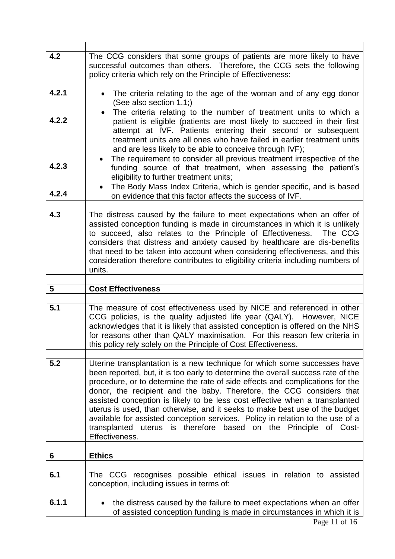| 4.2            | The CCG considers that some groups of patients are more likely to have<br>successful outcomes than others. Therefore, the CCG sets the following<br>policy criteria which rely on the Principle of Effectiveness:                                                                                                                                                                                                                                                                                                                                                                                                                                              |
|----------------|----------------------------------------------------------------------------------------------------------------------------------------------------------------------------------------------------------------------------------------------------------------------------------------------------------------------------------------------------------------------------------------------------------------------------------------------------------------------------------------------------------------------------------------------------------------------------------------------------------------------------------------------------------------|
| 4.2.1          | The criteria relating to the age of the woman and of any egg donor<br>(See also section 1.1;)                                                                                                                                                                                                                                                                                                                                                                                                                                                                                                                                                                  |
| 4.2.2          | The criteria relating to the number of treatment units to which a<br>patient is eligible (patients are most likely to succeed in their first<br>attempt at IVF. Patients entering their second or subsequent<br>treatment units are all ones who have failed in earlier treatment units<br>and are less likely to be able to conceive through IVF);<br>The requirement to consider all previous treatment irrespective of the                                                                                                                                                                                                                                  |
| 4.2.3<br>4.2.4 | funding source of that treatment, when assessing the patient's<br>eligibility to further treatment units;<br>The Body Mass Index Criteria, which is gender specific, and is based<br>on evidence that this factor affects the success of IVF.                                                                                                                                                                                                                                                                                                                                                                                                                  |
| 4.3            | The distress caused by the failure to meet expectations when an offer of<br>assisted conception funding is made in circumstances in which it is unlikely<br>to succeed, also relates to the Principle of Effectiveness.<br>The CCG<br>considers that distress and anxiety caused by healthcare are dis-benefits<br>that need to be taken into account when considering effectiveness, and this<br>consideration therefore contributes to eligibility criteria including numbers of<br>units.                                                                                                                                                                   |
|                |                                                                                                                                                                                                                                                                                                                                                                                                                                                                                                                                                                                                                                                                |
|                |                                                                                                                                                                                                                                                                                                                                                                                                                                                                                                                                                                                                                                                                |
| 5              | <b>Cost Effectiveness</b>                                                                                                                                                                                                                                                                                                                                                                                                                                                                                                                                                                                                                                      |
| 5.1            | The measure of cost effectiveness used by NICE and referenced in other<br>CCG policies, is the quality adjusted life year (QALY). However, NICE<br>acknowledges that it is likely that assisted conception is offered on the NHS<br>for reasons other than QALY maximisation. For this reason few criteria in<br>this policy rely solely on the Principle of Cost Effectiveness.                                                                                                                                                                                                                                                                               |
| 5.2            | Uterine transplantation is a new technique for which some successes have<br>been reported, but, it is too early to determine the overall success rate of the<br>procedure, or to determine the rate of side effects and complications for the<br>donor, the recipient and the baby. Therefore, the CCG considers that<br>assisted conception is likely to be less cost effective when a transplanted<br>uterus is used, than otherwise, and it seeks to make best use of the budget<br>available for assisted conception services. Policy in relation to the use of a<br>transplanted uterus is therefore based on the Principle<br>of Cost-<br>Effectiveness. |
|                |                                                                                                                                                                                                                                                                                                                                                                                                                                                                                                                                                                                                                                                                |
| 6              | <b>Ethics</b>                                                                                                                                                                                                                                                                                                                                                                                                                                                                                                                                                                                                                                                  |
| 6.1            | The CCG recognises possible ethical issues in relation to assisted<br>conception, including issues in terms of:                                                                                                                                                                                                                                                                                                                                                                                                                                                                                                                                                |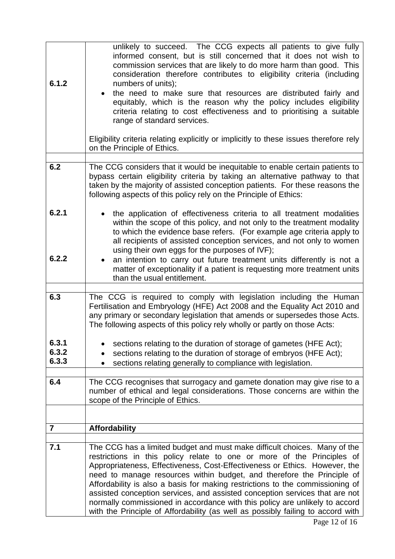| 6.1.2          | unlikely to succeed. The CCG expects all patients to give fully<br>informed consent, but is still concerned that it does not wish to<br>commission services that are likely to do more harm than good. This<br>consideration therefore contributes to eligibility criteria (including<br>numbers of units);<br>the need to make sure that resources are distributed fairly and<br>equitably, which is the reason why the policy includes eligibility<br>criteria relating to cost effectiveness and to prioritising a suitable<br>range of standard services.                                                                                 |
|----------------|-----------------------------------------------------------------------------------------------------------------------------------------------------------------------------------------------------------------------------------------------------------------------------------------------------------------------------------------------------------------------------------------------------------------------------------------------------------------------------------------------------------------------------------------------------------------------------------------------------------------------------------------------|
|                | Eligibility criteria relating explicitly or implicitly to these issues therefore rely<br>on the Principle of Ethics.                                                                                                                                                                                                                                                                                                                                                                                                                                                                                                                          |
|                |                                                                                                                                                                                                                                                                                                                                                                                                                                                                                                                                                                                                                                               |
| 6.2            | The CCG considers that it would be inequitable to enable certain patients to<br>bypass certain eligibility criteria by taking an alternative pathway to that<br>taken by the majority of assisted conception patients. For these reasons the<br>following aspects of this policy rely on the Principle of Ethics:                                                                                                                                                                                                                                                                                                                             |
| 6.2.1          | the application of effectiveness criteria to all treatment modalities<br>within the scope of this policy, and not only to the treatment modality<br>to which the evidence base refers. (For example age criteria apply to<br>all recipients of assisted conception services, and not only to women<br>using their own eggs for the purposes of IVF);                                                                                                                                                                                                                                                                                          |
| 6.2.2          | an intention to carry out future treatment units differently is not a<br>matter of exceptionality if a patient is requesting more treatment units<br>than the usual entitlement.                                                                                                                                                                                                                                                                                                                                                                                                                                                              |
|                |                                                                                                                                                                                                                                                                                                                                                                                                                                                                                                                                                                                                                                               |
| 6.3            | The CCG is required to comply with legislation including the Human<br>Fertilisation and Embryology (HFE) Act 2008 and the Equality Act 2010 and<br>any primary or secondary legislation that amends or supersedes those Acts.<br>The following aspects of this policy rely wholly or partly on those Acts:                                                                                                                                                                                                                                                                                                                                    |
| 6.3.1<br>6.3.2 | sections relating to the duration of storage of gametes (HFE Act);<br>sections relating to the duration of storage of embryos (HFE Act);                                                                                                                                                                                                                                                                                                                                                                                                                                                                                                      |
| 6.3.3          | sections relating generally to compliance with legislation.                                                                                                                                                                                                                                                                                                                                                                                                                                                                                                                                                                                   |
|                |                                                                                                                                                                                                                                                                                                                                                                                                                                                                                                                                                                                                                                               |
| 6.4            | The CCG recognises that surrogacy and gamete donation may give rise to a<br>number of ethical and legal considerations. Those concerns are within the<br>scope of the Principle of Ethics.                                                                                                                                                                                                                                                                                                                                                                                                                                                    |
|                |                                                                                                                                                                                                                                                                                                                                                                                                                                                                                                                                                                                                                                               |
| $\overline{7}$ | <b>Affordability</b>                                                                                                                                                                                                                                                                                                                                                                                                                                                                                                                                                                                                                          |
|                |                                                                                                                                                                                                                                                                                                                                                                                                                                                                                                                                                                                                                                               |
| 7.1            | The CCG has a limited budget and must make difficult choices. Many of the<br>restrictions in this policy relate to one or more of the Principles of<br>Appropriateness, Effectiveness, Cost-Effectiveness or Ethics. However, the<br>need to manage resources within budget, and therefore the Principle of<br>Affordability is also a basis for making restrictions to the commissioning of<br>assisted conception services, and assisted conception services that are not<br>normally commissioned in accordance with this policy are unlikely to accord<br>with the Principle of Affordability (as well as possibly failing to accord with |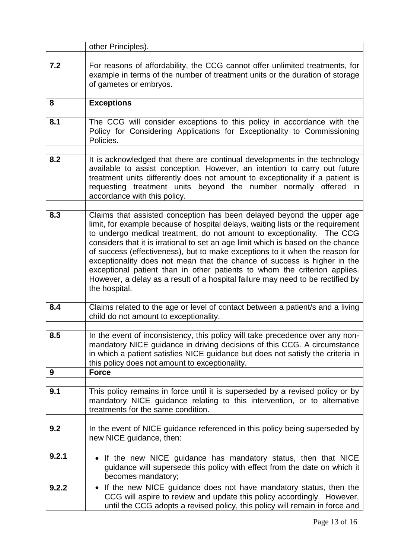|       | other Principles).                                                                                                                                                                                                                                                                                                                                                                                                                                                                                                                                                                                                                                                 |
|-------|--------------------------------------------------------------------------------------------------------------------------------------------------------------------------------------------------------------------------------------------------------------------------------------------------------------------------------------------------------------------------------------------------------------------------------------------------------------------------------------------------------------------------------------------------------------------------------------------------------------------------------------------------------------------|
| 7.2   | For reasons of affordability, the CCG cannot offer unlimited treatments, for<br>example in terms of the number of treatment units or the duration of storage<br>of gametes or embryos.                                                                                                                                                                                                                                                                                                                                                                                                                                                                             |
| 8     | <b>Exceptions</b>                                                                                                                                                                                                                                                                                                                                                                                                                                                                                                                                                                                                                                                  |
|       |                                                                                                                                                                                                                                                                                                                                                                                                                                                                                                                                                                                                                                                                    |
| 8.1   | The CCG will consider exceptions to this policy in accordance with the<br>Policy for Considering Applications for Exceptionality to Commissioning<br>Policies.                                                                                                                                                                                                                                                                                                                                                                                                                                                                                                     |
| 8.2   | It is acknowledged that there are continual developments in the technology<br>available to assist conception. However, an intention to carry out future<br>treatment units differently does not amount to exceptionality if a patient is<br>treatment units beyond the number normally offered<br>requesting<br>in<br>accordance with this policy.                                                                                                                                                                                                                                                                                                                 |
| 8.3   | Claims that assisted conception has been delayed beyond the upper age<br>limit, for example because of hospital delays, waiting lists or the requirement<br>to undergo medical treatment, do not amount to exceptionality. The CCG<br>considers that it is irrational to set an age limit which is based on the chance<br>of success (effectiveness), but to make exceptions to it when the reason for<br>exceptionality does not mean that the chance of success is higher in the<br>exceptional patient than in other patients to whom the criterion applies.<br>However, a delay as a result of a hospital failure may need to be rectified by<br>the hospital. |
| 8.4   | Claims related to the age or level of contact between a patient/s and a living<br>child do not amount to exceptionality.                                                                                                                                                                                                                                                                                                                                                                                                                                                                                                                                           |
| 8.5   | In the event of inconsistency, this policy will take precedence over any non-<br>mandatory NICE guidance in driving decisions of this CCG. A circumstance                                                                                                                                                                                                                                                                                                                                                                                                                                                                                                          |
|       | in which a patient satisfies NICE guidance but does not satisfy the criteria in<br>this policy does not amount to exceptionality.                                                                                                                                                                                                                                                                                                                                                                                                                                                                                                                                  |
| 9     | <b>Force</b>                                                                                                                                                                                                                                                                                                                                                                                                                                                                                                                                                                                                                                                       |
|       |                                                                                                                                                                                                                                                                                                                                                                                                                                                                                                                                                                                                                                                                    |
| 9.1   | This policy remains in force until it is superseded by a revised policy or by<br>mandatory NICE guidance relating to this intervention, or to alternative<br>treatments for the same condition.                                                                                                                                                                                                                                                                                                                                                                                                                                                                    |
|       |                                                                                                                                                                                                                                                                                                                                                                                                                                                                                                                                                                                                                                                                    |
| 9.2   | In the event of NICE guidance referenced in this policy being superseded by<br>new NICE guidance, then:                                                                                                                                                                                                                                                                                                                                                                                                                                                                                                                                                            |
| 9.2.1 | If the new NICE guidance has mandatory status, then that NICE<br>guidance will supersede this policy with effect from the date on which it<br>becomes mandatory;                                                                                                                                                                                                                                                                                                                                                                                                                                                                                                   |
| 9.2.2 | If the new NICE guidance does not have mandatory status, then the<br>CCG will aspire to review and update this policy accordingly. However,<br>until the CCG adopts a revised policy, this policy will remain in force and                                                                                                                                                                                                                                                                                                                                                                                                                                         |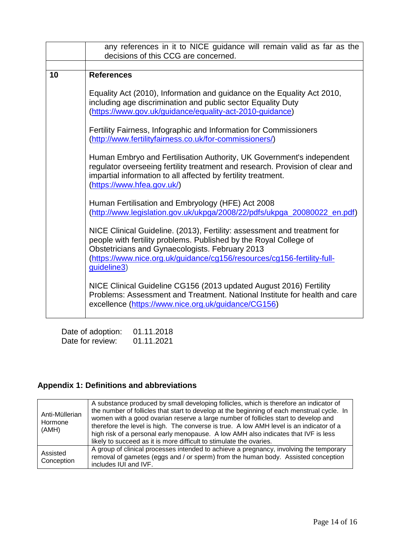|    | any references in it to NICE guidance will remain valid as far as the<br>decisions of this CCG are concerned.                                                                                                                                                                                                                                                                                                                                                                                                                                                                                                                                                                                                                                                                                                                                                                                                                                                                                                                                                                                                                                                                                                                          |
|----|----------------------------------------------------------------------------------------------------------------------------------------------------------------------------------------------------------------------------------------------------------------------------------------------------------------------------------------------------------------------------------------------------------------------------------------------------------------------------------------------------------------------------------------------------------------------------------------------------------------------------------------------------------------------------------------------------------------------------------------------------------------------------------------------------------------------------------------------------------------------------------------------------------------------------------------------------------------------------------------------------------------------------------------------------------------------------------------------------------------------------------------------------------------------------------------------------------------------------------------|
|    |                                                                                                                                                                                                                                                                                                                                                                                                                                                                                                                                                                                                                                                                                                                                                                                                                                                                                                                                                                                                                                                                                                                                                                                                                                        |
| 10 | <b>References</b>                                                                                                                                                                                                                                                                                                                                                                                                                                                                                                                                                                                                                                                                                                                                                                                                                                                                                                                                                                                                                                                                                                                                                                                                                      |
|    | Equality Act (2010), Information and guidance on the Equality Act 2010,<br>including age discrimination and public sector Equality Duty<br>(https://www.gov.uk/guidance/equality-act-2010-guidance)<br>Fertility Fairness, Infographic and Information for Commissioners<br>(http://www.fertilityfairness.co.uk/for-commissioners/)<br>Human Embryo and Fertilisation Authority, UK Government's independent<br>regulator overseeing fertility treatment and research. Provision of clear and<br>impartial information to all affected by fertility treatment.<br>(https://www.hfea.gov.uk/)<br>Human Fertilisation and Embryology (HFE) Act 2008<br>(http://www.legislation.gov.uk/ukpga/2008/22/pdfs/ukpga_20080022_en.pdf)<br>NICE Clinical Guideline. (2013), Fertility: assessment and treatment for<br>people with fertility problems. Published by the Royal College of<br>Obstetricians and Gynaecologists. February 2013<br>(https://www.nice.org.uk/guidance/cg156/resources/cg156-fertility-full-<br>guideline3)<br>NICE Clinical Guideline CG156 (2013 updated August 2016) Fertility<br>Problems: Assessment and Treatment. National Institute for health and care<br>excellence (https://www.nice.org.uk/guidance/CG156) |

| Date of adoption: | 01.11.2018 |
|-------------------|------------|
| Date for review:  | 01.11.2021 |

# **Appendix 1: Definitions and abbreviations**

| Anti-Müllerian<br>Hormone<br>(AMH) | A substance produced by small developing follicles, which is therefore an indicator of<br>the number of follicles that start to develop at the beginning of each menstrual cycle. In<br>women with a good ovarian reserve a large number of follicles start to develop and<br>therefore the level is high. The converse is true. A low AMH level is an indicator of a<br>high risk of a personal early menopause. A low AMH also indicates that IVF is less<br>likely to succeed as it is more difficult to stimulate the ovaries. |
|------------------------------------|------------------------------------------------------------------------------------------------------------------------------------------------------------------------------------------------------------------------------------------------------------------------------------------------------------------------------------------------------------------------------------------------------------------------------------------------------------------------------------------------------------------------------------|
| Assisted<br>Conception             | A group of clinical processes intended to achieve a pregnancy, involving the temporary<br>removal of gametes (eggs and / or sperm) from the human body. Assisted conception<br>includes IUI and IVF.                                                                                                                                                                                                                                                                                                                               |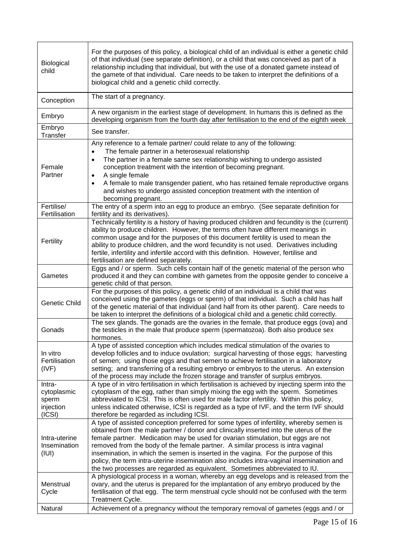| Biological<br>child                                   | For the purposes of this policy, a biological child of an individual is either a genetic child<br>of that individual (see separate definition), or a child that was conceived as part of a<br>relationship including that individual, but with the use of a donated gamete instead of<br>the gamete of that individual. Care needs to be taken to interpret the definitions of a<br>biological child and a genetic child correctly.                                                                                                                                                                                      |
|-------------------------------------------------------|--------------------------------------------------------------------------------------------------------------------------------------------------------------------------------------------------------------------------------------------------------------------------------------------------------------------------------------------------------------------------------------------------------------------------------------------------------------------------------------------------------------------------------------------------------------------------------------------------------------------------|
| Conception                                            | The start of a pregnancy.                                                                                                                                                                                                                                                                                                                                                                                                                                                                                                                                                                                                |
| Embryo                                                | A new organism in the earliest stage of development. In humans this is defined as the<br>developing organism from the fourth day after fertilisation to the end of the eighth week                                                                                                                                                                                                                                                                                                                                                                                                                                       |
| Embryo<br>Transfer                                    | See transfer.                                                                                                                                                                                                                                                                                                                                                                                                                                                                                                                                                                                                            |
| Female<br>Partner                                     | Any reference to a female partner/ could relate to any of the following:<br>The female partner in a heterosexual relationship<br>The partner in a female same sex relationship wishing to undergo assisted<br>conception treatment with the intention of becoming pregnant.<br>A single female<br>٠<br>A female to male transgender patient, who has retained female reproductive organs<br>$\bullet$<br>and wishes to undergo assisted conception treatment with the intention of<br>becoming pregnant.                                                                                                                 |
| Fertilise/<br>Fertilisation                           | The entry of a sperm into an egg to produce an embryo. (See separate definition for<br>fertility and its derivatives).                                                                                                                                                                                                                                                                                                                                                                                                                                                                                                   |
| Fertility                                             | Technically fertility is a history of having produced children and fecundity is the (current)<br>ability to produce children. However, the terms often have different meanings in<br>common usage and for the purposes of this document fertility is used to mean the<br>ability to produce children, and the word fecundity is not used. Derivatives including<br>fertile, infertility and infertile accord with this definition. However, fertilise and<br>fertilisation are defined separately.                                                                                                                       |
| Gametes                                               | Eggs and / or sperm. Such cells contain half of the genetic material of the person who<br>produced it and they can combine with gametes from the opposite gender to conceive a<br>genetic child of that person.                                                                                                                                                                                                                                                                                                                                                                                                          |
| <b>Genetic Child</b>                                  | For the purposes of this policy, a genetic child of an individual is a child that was<br>conceived using the gametes (eggs or sperm) of that individual. Such a child has half<br>of the genetic material of that individual (and half from its other parent). Care needs to<br>be taken to interpret the definitions of a biological child and a genetic child correctly.<br>The sex glands. The gonads are the ovaries in the female, that produce eggs (ova) and                                                                                                                                                      |
| Gonads                                                | the testicles in the male that produce sperm (spermatozoa). Both also produce sex<br>hormones.                                                                                                                                                                                                                                                                                                                                                                                                                                                                                                                           |
| In vitro<br>Fertilisation<br>(IVF)                    | A type of assisted conception which includes medical stimulation of the ovaries to<br>develop follicles and to induce ovulation; surgical harvesting of those eggs; harvesting<br>of semen; using those eggs and that semen to achieve fertilisation in a laboratory<br>setting; and transferring of a resulting embryo or embryos to the uterus. An extension<br>of the process may include the frozen storage and transfer of surplus embryos.                                                                                                                                                                         |
| Intra-<br>cytoplasmic<br>sperm<br>injection<br>(ICSI) | A type of in vitro fertilisation in which fertilisation is achieved by injecting sperm into the<br>cytoplasm of the egg, rather than simply mixing the egg with the sperm. Sometimes<br>abbreviated to ICSI. This is often used for male factor infertility. Within this policy,<br>unless indicated otherwise, ICSI is regarded as a type of IVF, and the term IVF should<br>therefore be regarded as including ICSI.                                                                                                                                                                                                   |
| Intra-uterine<br>Insemination<br>(III)                | A type of assisted conception preferred for some types of infertility, whereby semen is<br>obtained from the male partner / donor and clinically inserted into the uterus of the<br>female partner. Medication may be used for ovarian stimulation, but eggs are not<br>removed from the body of the female partner. A similar process is intra vaginal<br>insemination, in which the semen is inserted in the vagina. For the purpose of this<br>policy, the term intra-uterine insemination also includes intra-vaginal insemination and<br>the two processes are regarded as equivalent. Sometimes abbreviated to IU. |
| Menstrual<br>Cycle                                    | A physiological process in a woman, whereby an egg develops and is released from the<br>ovary, and the uterus is prepared for the implantation of any embryo produced by the<br>fertilisation of that egg. The term menstrual cycle should not be confused with the term<br>Treatment Cycle.                                                                                                                                                                                                                                                                                                                             |
| Natural                                               | Achievement of a pregnancy without the temporary removal of gametes (eggs and / or                                                                                                                                                                                                                                                                                                                                                                                                                                                                                                                                       |